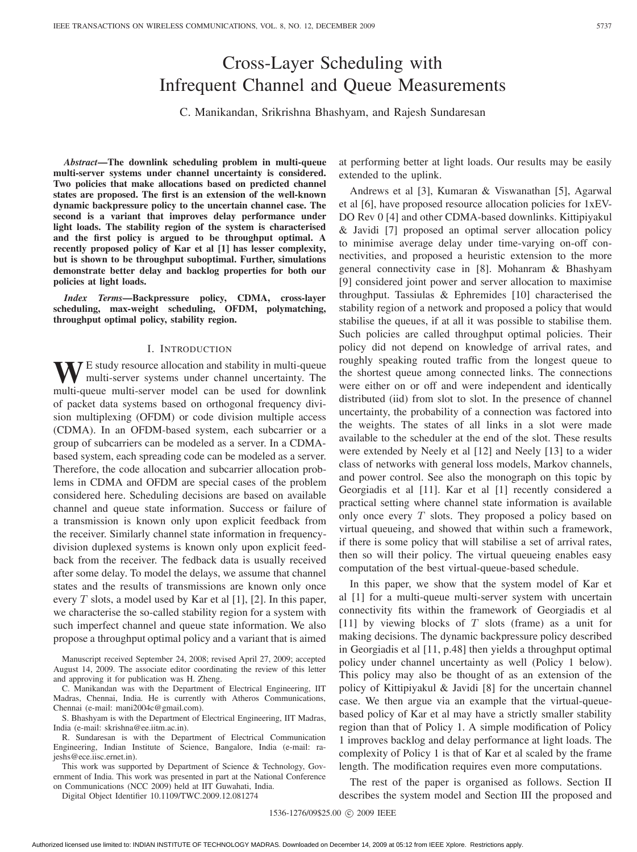# Cross-Layer Scheduling with Infrequent Channel and Queue Measurements

C. Manikandan, Srikrishna Bhashyam, and Rajesh Sundaresan

*Abstract***—The downlink scheduling problem in multi-queue multi-server systems under channel uncertainty is considered. Two policies that make allocations based on predicted channel states are proposed. The first is an extension of the well-known dynamic backpressure policy to the uncertain channel case. The second is a variant that improves delay performance under light loads. The stability region of the system is characterised and the first policy is argued to be throughput optimal. A recently proposed policy of Kar et al [1] has lesser complexity, but is shown to be throughput suboptimal. Further, simulations demonstrate better delay and backlog properties for both our policies at light loads.**

*Index Terms***—Backpressure policy, CDMA, cross-layer scheduling, max-weight scheduling, OFDM, polymatching, throughput optimal policy, stability region.**

### I. INTRODUCTION

WE study resource allocation and stability in multi-queue<br>multi-server systems under channel uncertainty. The multi-queue multi-server model can be used for downlink of packet data systems based on orthogonal frequency division multiplexing (OFDM) or code division multiple access (CDMA). In an OFDM-based system, each subcarrier or a group of subcarriers can be modeled as a server. In a CDMAbased system, each spreading code can be modeled as a server. Therefore, the code allocation and subcarrier allocation problems in CDMA and OFDM are special cases of the problem considered here. Scheduling decisions are based on available channel and queue state information. Success or failure of a transmission is known only upon explicit feedback from the receiver. Similarly channel state information in frequencydivision duplexed systems is known only upon explicit feedback from the receiver. The fedback data is usually received after some delay. To model the delays, we assume that channel states and the results of transmissions are known only once every  $T$  slots, a model used by Kar et al [1], [2]. In this paper, we characterise the so-called stability region for a system with such imperfect channel and queue state information. We also propose a throughput optimal policy and a variant that is aimed

Manuscript received September 24, 2008; revised April 27, 2009; accepted August 14, 2009. The associate editor coordinating the review of this letter and approving it for publication was H. Zheng.

C. Manikandan was with the Department of Electrical Engineering, IIT Madras, Chennai, India. He is currently with Atheros Communications, Chennai (e-mail: mani2004c@gmail.com).

S. Bhashyam is with the Department of Electrical Engineering, IIT Madras, India (e-mail: skrishna@ee.iitm.ac.in).

R. Sundaresan is with the Department of Electrical Communication Engineering, Indian Institute of Science, Bangalore, India (e-mail: rajeshs@ece.iisc.ernet.in).

This work was supported by Department of Science & Technology, Government of India. This work was presented in part at the National Conference on Communications (NCC 2009) held at IIT Guwahati, India.

Digital Object Identifier 10.1109/TWC.2009.12.081274

at performing better at light loads. Our results may be easily extended to the uplink.

Andrews et al [3], Kumaran & Viswanathan [5], Agarwal et al [6], have proposed resource allocation policies for 1xEV-DO Rev 0 [4] and other CDMA-based downlinks. Kittipiyakul & Javidi [7] proposed an optimal server allocation policy to minimise average delay under time-varying on-off connectivities, and proposed a heuristic extension to the more general connectivity case in [8]. Mohanram & Bhashyam [9] considered joint power and server allocation to maximise throughput. Tassiulas & Ephremides [10] characterised the stability region of a network and proposed a policy that would stabilise the queues, if at all it was possible to stabilise them. Such policies are called throughput optimal policies. Their policy did not depend on knowledge of arrival rates, and roughly speaking routed traffic from the longest queue to the shortest queue among connected links. The connections were either on or off and were independent and identically distributed (iid) from slot to slot. In the presence of channel uncertainty, the probability of a connection was factored into the weights. The states of all links in a slot were made available to the scheduler at the end of the slot. These results were extended by Neely et al [12] and Neely [13] to a wider class of networks with general loss models, Markov channels, and power control. See also the monograph on this topic by Georgiadis et al [11]. Kar et al [1] recently considered a practical setting where channel state information is available only once every  $T$  slots. They proposed a policy based on virtual queueing, and showed that within such a framework, if there is some policy that will stabilise a set of arrival rates, then so will their policy. The virtual queueing enables easy computation of the best virtual-queue-based schedule.

In this paper, we show that the system model of Kar et al [1] for a multi-queue multi-server system with uncertain connectivity fits within the framework of Georgiadis et al [11] by viewing blocks of  $T$  slots (frame) as a unit for making decisions. The dynamic backpressure policy described in Georgiadis et al [11, p.48] then yields a throughput optimal policy under channel uncertainty as well (Policy 1 below). This policy may also be thought of as an extension of the policy of Kittipiyakul & Javidi [8] for the uncertain channel case. We then argue via an example that the virtual-queuebased policy of Kar et al may have a strictly smaller stability region than that of Policy 1. A simple modification of Policy 1 improves backlog and delay performance at light loads. The complexity of Policy 1 is that of Kar et al scaled by the frame length. The modification requires even more computations.

The rest of the paper is organised as follows. Section II describes the system model and Section III the proposed and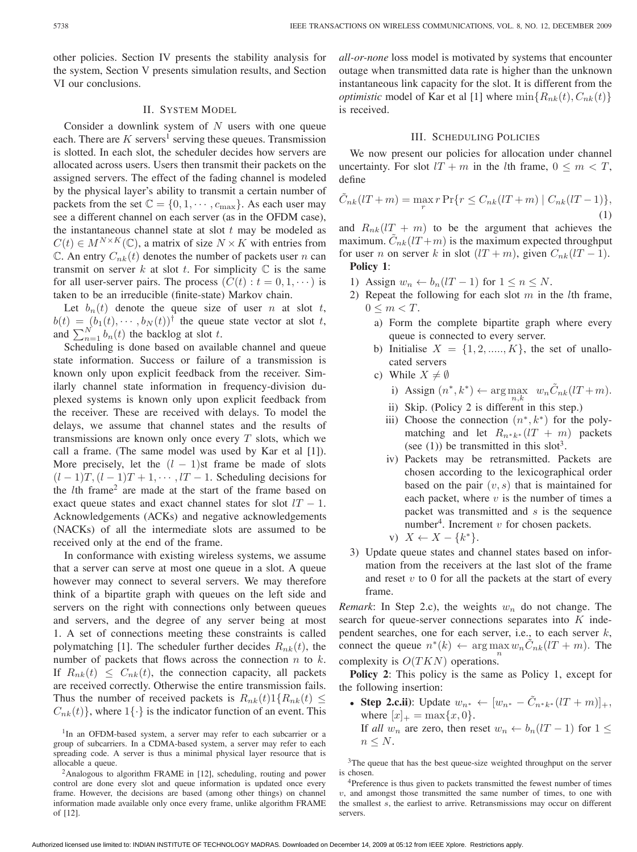other policies. Section IV presents the stability analysis for the system, Section V presents simulation results, and Section VI our conclusions.

### II. SYSTEM MODEL

Consider a downlink system of  $N$  users with one queue each. There are  $K$  servers<sup>1</sup> serving these queues. Transmission is slotted. In each slot, the scheduler decides how servers are allocated across users. Users then transmit their packets on the assigned servers. The effect of the fading channel is modeled by the physical layer's ability to transmit a certain number of packets from the set  $\mathbb{C} = \{0, 1, \cdots, c_{\text{max}}\}.$  As each user may see a different channel on each server (as in the OFDM case), the instantaneous channel state at slot  $t$  may be modeled as  $C(t) \in M^{N \times K}(\mathbb{C})$ , a matrix of size  $N \times K$  with entries from  $\mathbb{C}$ . An entry  $C_{nk}(t)$  denotes the number of packets user n can transmit on server k at slot t. For simplicity  $\mathbb C$  is the same for all user-server pairs. The process  $(C(t) : t = 0, 1, \dots)$  is taken to be an irreducible (finite-state) Markov chain.

Let  $b_n(t)$  denote the queue size of user *n* at slot *t*,  $b(t)=(b_1(t), \cdots, b_N(t))^{\dagger}$  the queue state vector at slot t, and  $\sum_{n=1}^{N} b_n(t)$  the backlog at slot t.

Scheduling is done based on available channel and queue state information. Success or failure of a transmission is known only upon explicit feedback from the receiver. Similarly channel state information in frequency-division duplexed systems is known only upon explicit feedback from the receiver. These are received with delays. To model the delays, we assume that channel states and the results of transmissions are known only once every  $T$  slots, which we call a frame. (The same model was used by Kar et al [1]). More precisely, let the  $(l - 1)$ st frame be made of slots  $(l-1)T$ ,  $(l-1)T + 1, \cdots, lT - 1$ . Scheduling decisions for the  $l$ th frame<sup>2</sup> are made at the start of the frame based on exact queue states and exact channel states for slot  $lT - 1$ . Acknowledgements (ACKs) and negative acknowledgements (NACKs) of all the intermediate slots are assumed to be received only at the end of the frame.

In conformance with existing wireless systems, we assume that a server can serve at most one queue in a slot. A queue however may connect to several servers. We may therefore think of a bipartite graph with queues on the left side and servers on the right with connections only between queues and servers, and the degree of any server being at most 1. A set of connections meeting these constraints is called polymatching [1]. The scheduler further decides  $R_{nk}(t)$ , the number of packets that flows across the connection  $n$  to  $k$ . If  $R_{nk}(t) \leq C_{nk}(t)$ , the connection capacity, all packets are received correctly. Otherwise the entire transmission fails. Thus the number of received packets is  $R_{nk}(t)1\{R_{nk}(t) \leq$  $(C_{nk}(t))$ , where  $1\{\cdot\}$  is the indicator function of an event. This *all-or-none* loss model is motivated by systems that encounter outage when transmitted data rate is higher than the unknown instantaneous link capacity for the slot. It is different from the *optimistic* model of Kar et al [1] where  $\min\{R_{nk}(t), C_{nk}(t)\}$ is received.

### III. SCHEDULING POLICIES

We now present our policies for allocation under channel uncertainty. For slot  $lT + m$  in the lth frame,  $0 \le m < T$ , define

$$
\tilde{C}_{nk}(lT+m) = \max_{r} r \Pr\{r \le C_{nk}(lT+m) \mid C_{nk}(lT-1)\},\tag{1}
$$

and  $R_{nk}(lT + m)$  to be the argument that achieves the maximum.  $\tilde{C}_{nk} (lT+m)$  is the maximum expected throughput for user *n* on server *k* in slot  $(1T + m)$ , given  $C_{nk}(1T - 1)$ .

## **Policy 1**:

- 1) Assign  $w_n \leftarrow b_n (lT 1)$  for  $1 \le n \le N$ .
- 2) Repeat the following for each slot  $m$  in the lth frame,  $0 \leq m < T$ .
	- a) Form the complete bipartite graph where every queue is connected to every server.
	- b) Initialise  $X = \{1, 2, \dots, K\}$ , the set of unallocated servers
	- c) While  $X \neq \emptyset$ 
		- i) Assign  $(n^*, k^*) \leftarrow \arg \max_{n,k} w_n \tilde{C}_{nk}(lT+m).$
		- ii) Skip. (Policy 2 is different in this step.)
		- iii) Choose the connection  $(n^*, k^*)$  for the polymatching and let  $R_{n*k^*}(lT + m)$  packets (see (1)) be transmitted in this slot<sup>3</sup>.
		- iv) Packets may be retransmitted. Packets are chosen according to the lexicographical order based on the pair  $(v, s)$  that is maintained for each packet, where  $v$  is the number of times a packet was transmitted and  $s$  is the sequence number<sup>4</sup>. Increment  $v$  for chosen packets.

v) 
$$
X \leftarrow X - \{k^*\}.
$$

3) Update queue states and channel states based on information from the receivers at the last slot of the frame and reset  $v$  to 0 for all the packets at the start of every frame.

*Remark*: In Step 2.c), the weights  $w_n$  do not change. The search for queue-server connections separates into  $K$  independent searches, one for each server, i.e., to each server  $k$ , connect the queue  $n^*(k) \leftarrow \arg \max w_n C_{nk} (lT + m)$ . The complexity is  $O(TKN)$  operations.

**Policy 2**: This policy is the same as Policy 1, except for the following insertion:

• **Step 2.c.ii**): Update  $w_{n^*} \leftarrow [w_{n^*} - \tilde{C}_{n^*k^*}(lT+m)]_+,$ where  $[x]_+ = \max\{x, 0\}.$ 

If *all*  $w_n$  are zero, then reset  $w_n \leftarrow b_n (lT - 1)$  for  $1 \leq$  $n \leq N$ .

<sup>&</sup>lt;sup>1</sup>In an OFDM-based system, a server may refer to each subcarrier or a group of subcarriers. In a CDMA-based system, a server may refer to each spreading code. A server is thus a minimal physical layer resource that is allocable a queue.

<sup>2</sup>Analogous to algorithm FRAME in [12], scheduling, routing and power control are done every slot and queue information is updated once every frame. However, the decisions are based (among other things) on channel information made available only once every frame, unlike algorithm FRAME of [12].

<sup>&</sup>lt;sup>3</sup>The queue that has the best queue-size weighted throughput on the server is chosen.

<sup>&</sup>lt;sup>4</sup>Preference is thus given to packets transmitted the fewest number of times  $v$ , and amongst those transmitted the same number of times, to one with the smallest  $s$ , the earliest to arrive. Retransmissions may occur on different servers.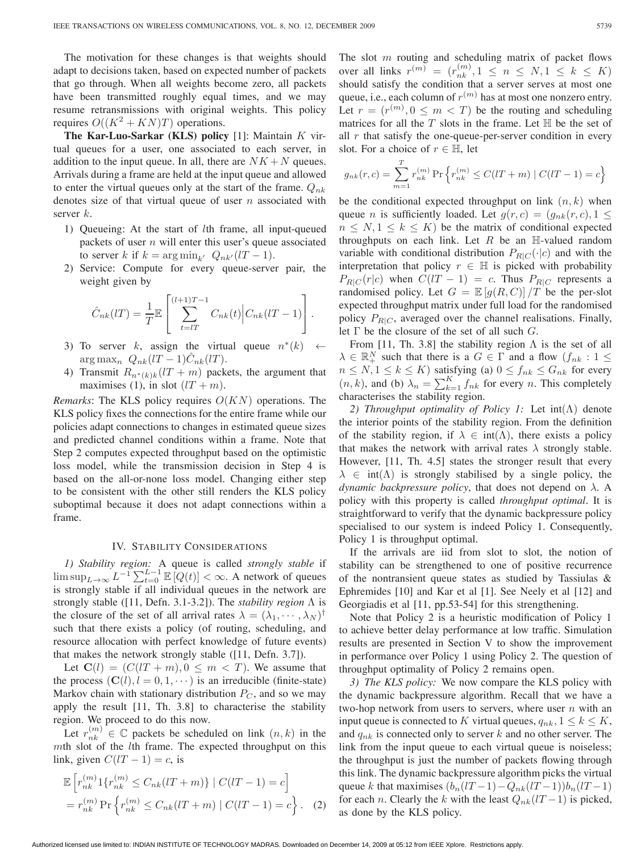The motivation for these changes is that weights should adapt to decisions taken, based on expected number of packets that go through. When all weights become zero, all packets have been transmitted roughly equal times, and we may resume retransmissions with original weights. This policy requires  $O((K^2 + KN)T)$  operations.

**The Kar-Luo-Sarkar (KLS) policy** [1]: Maintain  $K$  virtual queues for a user, one associated to each server, in addition to the input queue. In all, there are  $NK + N$  queues. Arrivals during a frame are held at the input queue and allowed to enter the virtual queues only at the start of the frame.  $Q_{nk}$ denotes size of that virtual queue of user  $n$  associated with server  $k$ .

- 1) Queueing: At the start of  $l$ th frame, all input-queued packets of user  $n$  will enter this user's queue associated to server k if  $k = \arg \min_{k'} Q_{nk'}(lT - 1)$ .
- 2) Service: Compute for every queue-server pair, the weight given by

$$
\hat{C}_{nk}(lT) = \frac{1}{T} \mathbb{E}\left[\sum_{t=lT}^{(l+1)T-1} C_{nk}(t) \Big| C_{nk}(lT-1) \right].
$$

- 3) To server k, assign the virtual queue  $n^*(k) \leftarrow$  $\arg \max_n Q_{nk}(lT-1)\hat{C}_{nk}(lT).$
- 4) Transmit  $R_{n^*(k)k}(lT + m)$  packets, the argument that maximises (1), in slot  $(1T + m)$ .

*Remarks*: The KLS policy requires  $O(KN)$  operations. The KLS policy fixes the connections for the entire frame while our policies adapt connections to changes in estimated queue sizes and predicted channel conditions within a frame. Note that Step 2 computes expected throughput based on the optimistic loss model, while the transmission decision in Step 4 is based on the all-or-none loss model. Changing either step to be consistent with the other still renders the KLS policy suboptimal because it does not adapt connections within a frame.

### IV. STABILITY CONSIDERATIONS

*1) Stability region:* A queue is called *strongly stable* if  $\limsup_{L\to\infty} L^{-1} \sum_{t=0}^{L-1} \mathbb{E}[Q(t)] < \infty$ . A network of queues is strongly stable if all individual queues in the network are strongly stable ([11, Defn. 3.1-3.2]). The *stability region* Λ is the closure of the set of all arrival rates  $\lambda = (\lambda_1, \cdots, \lambda_N)^{\dagger}$ such that there exists a policy (of routing, scheduling, and resource allocation with perfect knowledge of future events) that makes the network strongly stable ([11, Defn. 3.7]).

Let  $C(l) = (C(lT + m), 0 \le m < T)$ . We assume that the process  $(C(l), l = 0, 1, \dots)$  is an irreducible (finite-state) Markov chain with stationary distribution  $P_C$ , and so we may apply the result [11, Th. 3.8] to characterise the stability region. We proceed to do this now.

Let  $r_{nk}^{(m)} \in \mathbb{C}$  packets be scheduled on link  $(n, k)$  in the  $m$ th slot of the  $l$ th frame. The expected throughput on this link, given  $C(lT - 1) = c$ , is

$$
\mathbb{E}\left[r_{nk}^{(m)}1\{r_{nk}^{(m)} \leq C_{nk}(lT+m)\} \mid C(lT-1) = c\right]
$$

$$
= r_{nk}^{(m)} \Pr\left\{r_{nk}^{(m)} \leq C_{nk}(lT+m) \mid C(lT-1) = c\right\}.
$$
 (2)

The slot  $m$  routing and scheduling matrix of packet flows over all links  $r^{(m)} = (r_{nk}^{(m)}, 1 \le n \le N, 1 \le k \le K)$ should satisfy the condition that a server serves at most one queue, i.e., each column of  $r^{(m)}$  has at most one nonzero entry. Let  $r = (r^{(m)}, 0 \le m \le T)$  be the routing and scheduling matrices for all the  $T$  slots in the frame. Let  $\mathbb H$  be the set of all  $r$  that satisfy the one-queue-per-server condition in every slot. For a choice of  $r \in \mathbb{H}$ , let

$$
g_{nk}(r,c) = \sum_{m=1}^{T} r_{nk}^{(m)} \Pr \left\{ r_{nk}^{(m)} \le C(UT+m) \mid C(UT-1) = c \right\}
$$

be the conditional expected throughput on link  $(n, k)$  when queue *n* is sufficiently loaded. Let  $g(r, c) = (g_{nk}(r, c), 1 \leq$  $n \leq N, 1 \leq k \leq K$ ) be the matrix of conditional expected throughputs on each link. Let  $R$  be an H-valued random variable with conditional distribution  $P_{R|C}(\cdot|c)$  and with the interpretation that policy  $r \in \mathbb{H}$  is picked with probability  $P_{R|C}(r|c)$  when  $C(1T - 1) = c$ . Thus  $P_{R|C}$  represents a randomised policy. Let  $G = \mathbb{E}[q(R, C)] / T$  be the per-slot expected throughput matrix under full load for the randomised policy  $P_{R|C}$ , averaged over the channel realisations. Finally, let  $\Gamma$  be the closure of the set of all such  $G$ .

From [11, Th. 3.8] the stability region  $\Lambda$  is the set of all  $\lambda \in \mathbb{R}^N_+$  such that there is a  $G \in \Gamma$  and a flow  $(f_{nk} : 1 \leq$  $n \leq N, 1 \leq k \leq K$ ) satisfying (a)  $0 \leq f_{nk} \leq G_{nk}$  for every  $(n, k)$ , and (b)  $\lambda_n = \sum_{k=1}^{K} f_{nk}$  for every *n*. This completely characterises the stability region.

*2) Throughput optimality of Policy 1:* Let int(Λ) denote the interior points of the stability region. From the definition of the stability region, if  $\lambda \in \text{int}(\Lambda)$ , there exists a policy that makes the network with arrival rates  $\lambda$  strongly stable. However, [11, Th. 4.5] states the stronger result that every  $\lambda \in \text{int}(\Lambda)$  is strongly stabilised by a single policy, the *dynamic backpressure policy*, that does not depend on  $\lambda$ . A policy with this property is called *throughput optimal*. It is straightforward to verify that the dynamic backpressure policy specialised to our system is indeed Policy 1. Consequently, Policy 1 is throughput optimal.

If the arrivals are iid from slot to slot, the notion of stability can be strengthened to one of positive recurrence of the nontransient queue states as studied by Tassiulas & Ephremides [10] and Kar et al [1]. See Neely et al [12] and Georgiadis et al [11, pp.53-54] for this strengthening.

Note that Policy 2 is a heuristic modification of Policy 1 to achieve better delay performance at low traffic. Simulation results are presented in Section V to show the improvement in performance over Policy 1 using Policy 2. The question of throughput optimality of Policy 2 remains open.

*3) The KLS policy:* We now compare the KLS policy with the dynamic backpressure algorithm. Recall that we have a two-hop network from users to servers, where user  $n$  with an input queue is connected to K virtual queues,  $q_{nk}, 1 \leq k \leq K$ , and  $q_{nk}$  is connected only to server k and no other server. The link from the input queue to each virtual queue is noiseless; the throughput is just the number of packets flowing through this link. The dynamic backpressure algorithm picks the virtual queue k that maximises  $(b_n(lT-1)-Q_{nk}(lT-1))b_n(lT-1)$ for each *n*. Clearly the *k* with the least  $Q_{nk}(lT-1)$  is picked, as done by the KLS policy.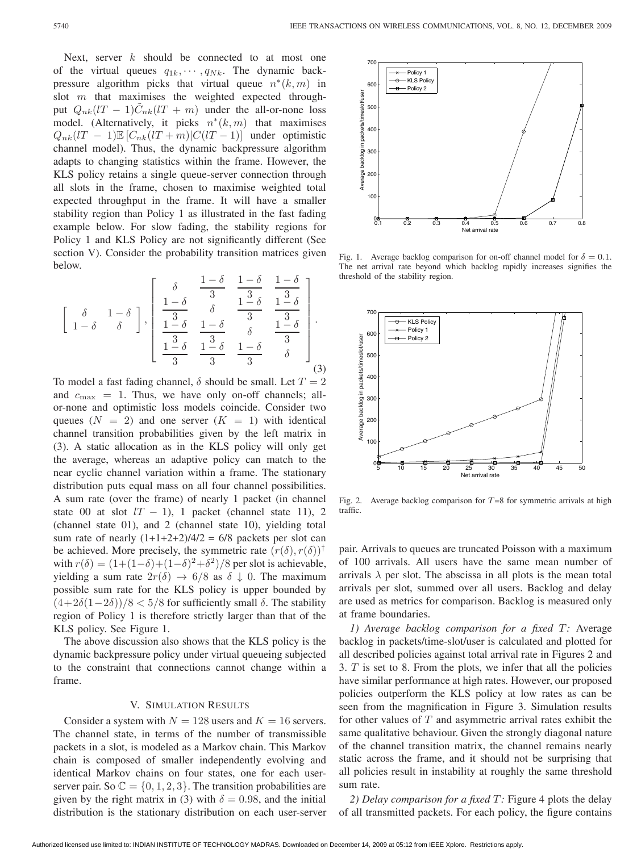Next, server  $k$  should be connected to at most one of the virtual queues  $q_{1k}, \dots, q_{Nk}$ . The dynamic backpressure algorithm picks that virtual queue  $n^*(k,m)$  in slot  $m$  that maximises the weighted expected throughput  $Q_{nk}(lT - 1)C_{nk}(lT + m)$  under the all-or-none loss model. (Alternatively, it picks  $n^*(k,m)$  that maximises  $Q_{nk}(lT - 1)\mathbb{E}\left[C_{nk}(lT + m)|C(lT - 1)\right]$  under optimistic channel model). Thus, the dynamic backpressure algorithm adapts to changing statistics within the frame. However, the KLS policy retains a single queue-server connection through all slots in the frame, chosen to maximise weighted total expected throughput in the frame. It will have a smaller stability region than Policy 1 as illustrated in the fast fading example below. For slow fading, the stability regions for Policy 1 and KLS Policy are not significantly different (See section V). Consider the probability transition matrices given below.

$$
\left[\begin{array}{cc} \delta & 1-\delta \\ 1-\delta & \delta \end{array}\right], \left[\begin{array}{ccc} \delta & \frac{1-\delta}{3} & \frac{1-\delta}{3} & \frac{1-\delta}{3} \\ \frac{1-\delta}{3} & \delta & \frac{1-\delta}{3} & \frac{1-\delta}{3} \\ \frac{1-\delta}{3} & \frac{1-\delta}{3} & \delta & \frac{1-\delta}{3} \\ \frac{1-\delta}{3} & \frac{1-\delta}{3} & \frac{1-\delta}{3} & \delta \end{array}\right].
$$
\n(3)

To model a fast fading channel,  $\delta$  should be small. Let  $T = 2$ and  $c_{\text{max}} = 1$ . Thus, we have only on-off channels; allor-none and optimistic loss models coincide. Consider two queues  $(N = 2)$  and one server  $(K = 1)$  with identical channel transition probabilities given by the left matrix in (3). A static allocation as in the KLS policy will only get the average, whereas an adaptive policy can match to the near cyclic channel variation within a frame. The stationary distribution puts equal mass on all four channel possibilities. A sum rate (over the frame) of nearly 1 packet (in channel state 00 at slot  $lT - 1$ , 1 packet (channel state 11), 2 (channel state 01), and 2 (channel state 10), yielding total sum rate of nearly  $(1+1+2+2)/4/2 = 6/8$  packets per slot can be achieved. More precisely, the symmetric rate  $(r(\delta), r(\delta))^{\dagger}$ with  $r(\delta) = (1+(1-\delta)+(1-\delta)^2+\delta^2)/8$  per slot is achievable, yielding a sum rate  $2r(\delta) \rightarrow 6/8$  as  $\delta \downarrow 0$ . The maximum possible sum rate for the KLS policy is upper bounded by  $(4+2\delta(1-2\delta))/8 < 5/8$  for sufficiently small  $\delta$ . The stability region of Policy 1 is therefore strictly larger than that of the KLS policy. See Figure 1.

The above discussion also shows that the KLS policy is the dynamic backpressure policy under virtual queueing subjected to the constraint that connections cannot change within a frame.

### V. SIMULATION RESULTS

Consider a system with  $N = 128$  users and  $K = 16$  servers. The channel state, in terms of the number of transmissible packets in a slot, is modeled as a Markov chain. This Markov chain is composed of smaller independently evolving and identical Markov chains on four states, one for each userserver pair. So  $\mathbb{C} = \{0, 1, 2, 3\}$ . The transition probabilities are given by the right matrix in (3) with  $\delta = 0.98$ , and the initial distribution is the stationary distribution on each user-server



Fig. 1. Average backlog comparison for on-off channel model for  $\delta = 0.1$ . The net arrival rate beyond which backlog rapidly increases signifies the threshold of the stability region.



Fig. 2. Average backlog comparison for  $T=8$  for symmetric arrivals at high traffic.

pair. Arrivals to queues are truncated Poisson with a maximum of 100 arrivals. All users have the same mean number of arrivals  $\lambda$  per slot. The abscissa in all plots is the mean total arrivals per slot, summed over all users. Backlog and delay are used as metrics for comparison. Backlog is measured only at frame boundaries.

*1) Average backlog comparison for a fixed :* Average backlog in packets/time-slot/user is calculated and plotted for all described policies against total arrival rate in Figures 2 and 3.  $T$  is set to 8. From the plots, we infer that all the policies have similar performance at high rates. However, our proposed policies outperform the KLS policy at low rates as can be seen from the magnification in Figure 3. Simulation results for other values of  $T$  and asymmetric arrival rates exhibit the same qualitative behaviour. Given the strongly diagonal nature of the channel transition matrix, the channel remains nearly static across the frame, and it should not be surprising that all policies result in instability at roughly the same threshold sum rate.

*2) Delay comparison for a fixed :* Figure 4 plots the delay of all transmitted packets. For each policy, the figure contains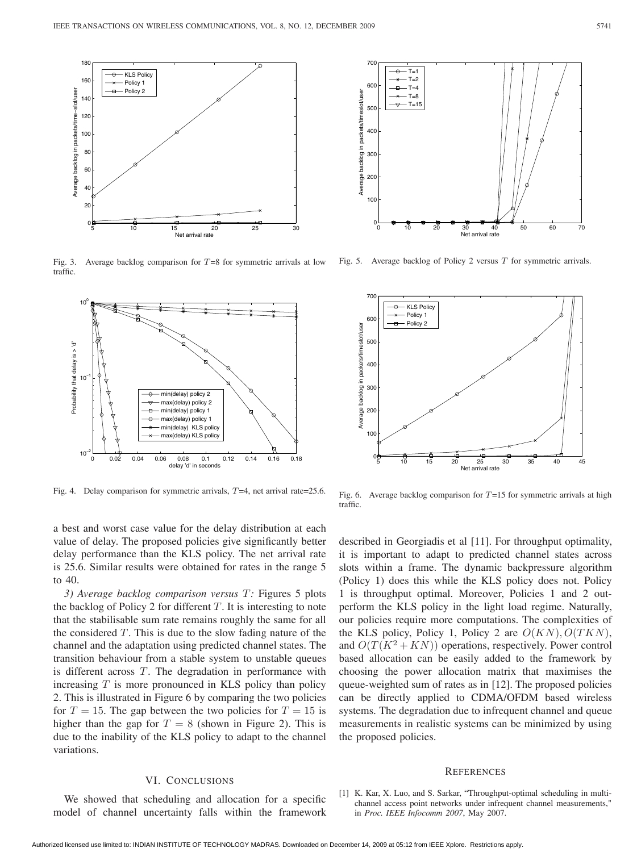

Fig. 3. Average backlog comparison for  $T=8$  for symmetric arrivals at low traffic.



Fig. 4. Delay comparison for symmetric arrivals,  $T=4$ , net arrival rate=25.6.

a best and worst case value for the delay distribution at each value of delay. The proposed policies give significantly better delay performance than the KLS policy. The net arrival rate is 25.6. Similar results were obtained for rates in the range 5 to 40.

*3) Average backlog comparison versus :* Figures 5 plots the backlog of Policy 2 for different  $T$ . It is interesting to note that the stabilisable sum rate remains roughly the same for all the considered  $T$ . This is due to the slow fading nature of the channel and the adaptation using predicted channel states. The transition behaviour from a stable system to unstable queues is different across  $T$ . The degradation in performance with increasing  $T$  is more pronounced in KLS policy than policy 2. This is illustrated in Figure 6 by comparing the two policies for  $T = 15$ . The gap between the two policies for  $T = 15$  is higher than the gap for  $T = 8$  (shown in Figure 2). This is due to the inability of the KLS policy to adapt to the channel variations.

### VI. CONCLUSIONS

We showed that scheduling and allocation for a specific model of channel uncertainty falls within the framework



Fig. 5. Average backlog of Policy 2 versus  $T$  for symmetric arrivals.



Fig. 6. Average backlog comparison for  $T=15$  for symmetric arrivals at high traffic.

described in Georgiadis et al [11]. For throughput optimality, it is important to adapt to predicted channel states across slots within a frame. The dynamic backpressure algorithm (Policy 1) does this while the KLS policy does not. Policy 1 is throughput optimal. Moreover, Policies 1 and 2 outperform the KLS policy in the light load regime. Naturally, our policies require more computations. The complexities of the KLS policy, Policy 1, Policy 2 are  $O(KN)$ ,  $O(TKN)$ , and  $O(T(K^2 + KN))$  operations, respectively. Power control based allocation can be easily added to the framework by choosing the power allocation matrix that maximises the queue-weighted sum of rates as in [12]. The proposed policies can be directly applied to CDMA/OFDM based wireless systems. The degradation due to infrequent channel and queue measurements in realistic systems can be minimized by using the proposed policies.

#### **REFERENCES**

[1] K. Kar, X. Luo, and S. Sarkar, "Throughput-optimal scheduling in multichannel access point networks under infrequent channel measurements," in *Proc. IEEE Infocomm 2007*, May 2007.